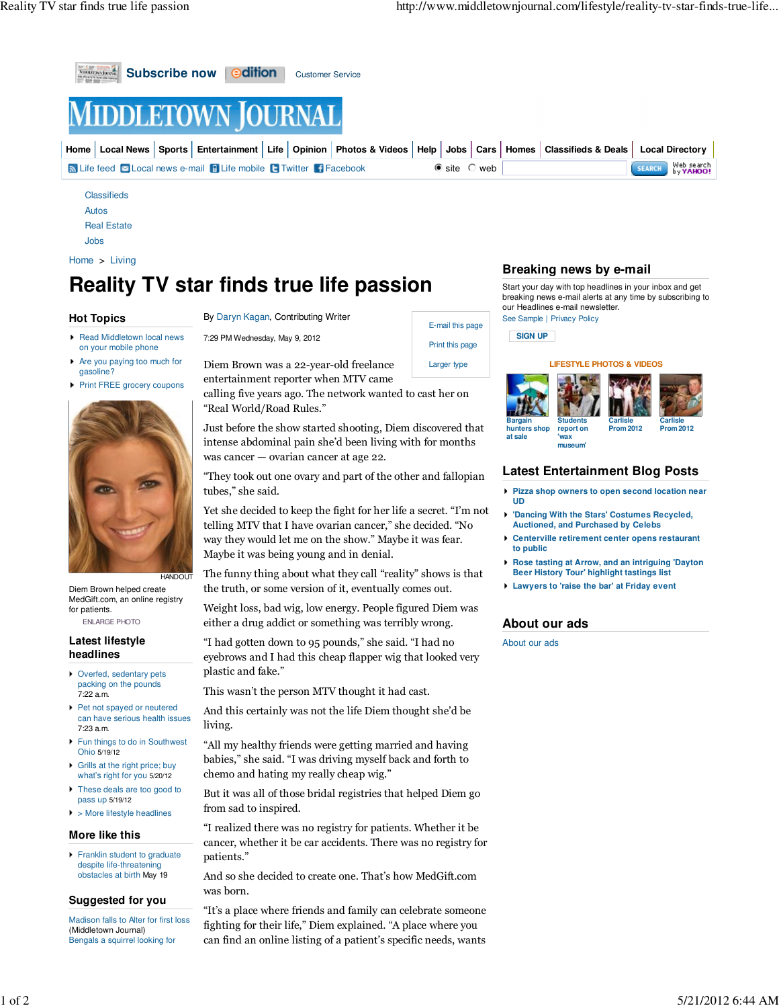

```
Real Estate
```
Jobs

```
Home > Living
```
# **Reality TV star finds true life passion**

# **Hot Topics**

- ▶ Read Middletown local news on your mobile phone
- Are you paying too much for gasoline?
- **Print FREE grocery coupons**



Diem Brown helped create MedGift.com, an online registry for patients.

ENLARGE PHOTO

#### **Latest lifestyle headlines**

- Overfed, sedentary pets packing on the pounds 7:22 a.m.
- Pet not spayed or neutered can have serious health issues 7:23 a.m.
- **Fun things to do in Southwest** Ohio 5/19/12
- Grills at the right price; buy what's right for you 5/20/12
- These deals are too good to pass up 5/19/12
- $\blacktriangleright$  > More lifestyle headlines

#### **More like this**

**Franklin student to graduate** despite life-threatening obstacles at birth May 19

### **Suggested for you**

Madison falls to Alter for first loss (Middletown Journal) Bengals a squirrel looking for

By Daryn Kagan, Contributing Writer

7:29 PM Wednesday, May 9, 2012

Diem Brown was a 22-year-old freelance entertainment reporter when MTV came

calling five years ago. The network wanted to cast her on "Real World/Road Rules."

Just before the show started shooting, Diem discovered that intense abdominal pain she'd been living with for months was cancer — ovarian cancer at age 22.

"They took out one ovary and part of the other and fallopian tubes," she said.

Yet she decided to keep the fight for her life a secret. "I'm not telling MTV that I have ovarian cancer," she decided. "No way they would let me on the show." Maybe it was fear. Maybe it was being young and in denial.

The funny thing about what they call "reality" shows is that the truth, or some version of it, eventually comes out.

Weight loss, bad wig, low energy. People figured Diem was either a drug addict or something was terribly wrong.

"I had gotten down to 95 pounds," she said. "I had no eyebrows and I had this cheap flapper wig that looked very plastic and fake."

This wasn't the person MTV thought it had cast.

And this certainly was not the life Diem thought she'd be living.

"All my healthy friends were getting married and having babies," she said. "I was driving myself back and forth to chemo and hating my really cheap wig."

But it was all of those bridal registries that helped Diem go from sad to inspired.

"I realized there was no registry for patients. Whether it be cancer, whether it be car accidents. There was no registry for patients."

And so she decided to create one. That's how MedGift.com was born.

"It's a place where friends and family can celebrate someone fighting for their life," Diem explained. "A place where you can find an online listing of a patient's specific needs, wants

## **Breaking news by e-mail**

Start your day with top headlines in your inbox and get breaking news e-mail alerts at any time by subscribing to our Headlines e-mail newsletter.

See Sample | Privacy Policy



E-mail this page Print this page Larger type

#### **LIFESTYLE PHOTOS & VIDEOS**



## **Latest Entertainment Blog Posts**

- **Pizza shop owners to open second location near UD**
- **'Dancing With the Stars' Costumes Recycled, Auctioned, and Purchased by Celebs**
- **Centerville retirement center opens restaurant to public**
- **Rose tasting at Arrow, and an intriguing 'Dayton Beer History Tour' highlight tastings list**
- **Lawyers to 'raise the bar' at Friday event**

# **About our ads**

About our ads